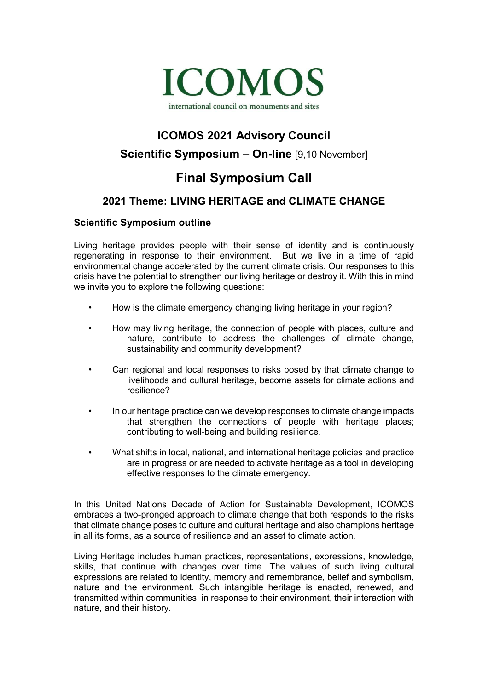

# **ICOMOS 2021 Advisory Council Scientific Symposium – On-line** [9,10 November]

# **Final Symposium Call**

## **2021 Theme: LIVING HERITAGE and CLIMATE CHANGE**

### **Scientific Symposium outline**

Living heritage provides people with their sense of identity and is continuously regenerating in response to their environment. But we live in a time of rapid environmental change accelerated by the current climate crisis. Our responses to this crisis have the potential to strengthen our living heritage or destroy it. With this in mind we invite you to explore the following questions:

- How is the climate emergency changing living heritage in your region?
- How may living heritage, the connection of people with places, culture and nature, contribute to address the challenges of climate change, sustainability and community development?
- Can regional and local responses to risks posed by that climate change to livelihoods and cultural heritage, become assets for climate actions and resilience?
- In our heritage practice can we develop responses to climate change impacts that strengthen the connections of people with heritage places; contributing to well-being and building resilience.
- What shifts in local, national, and international heritage policies and practice are in progress or are needed to activate heritage as a tool in developing effective responses to the climate emergency.

In this United Nations Decade of Action for Sustainable Development, ICOMOS embraces a two-pronged approach to climate change that both responds to the risks that climate change poses to culture and cultural heritage and also champions heritage in all its forms, as a source of resilience and an asset to climate action.

Living Heritage includes human practices, representations, expressions, knowledge, skills, that continue with changes over time. The values of such living cultural expressions are related to identity, memory and remembrance, belief and symbolism, nature and the environment. Such intangible heritage is enacted, renewed, and transmitted within communities, in response to their environment, their interaction with nature, and their history.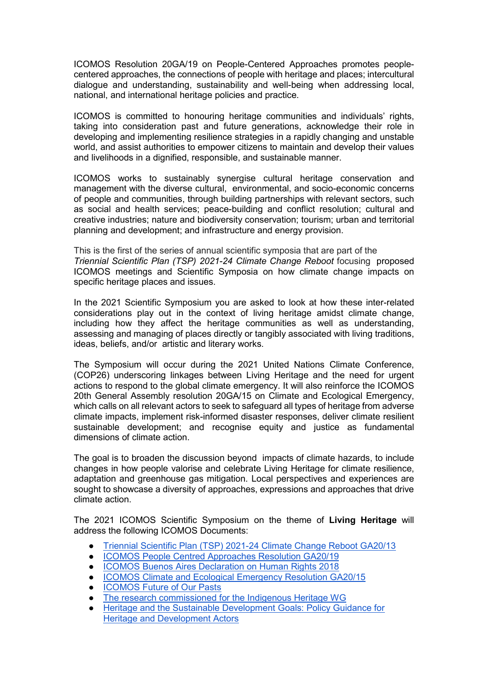ICOMOS Resolution 20GA/19 on People-Centered Approaches promotes peoplecentered approaches, the connections of people with heritage and places; intercultural dialogue and understanding, sustainability and well-being when addressing local, national, and international heritage policies and practice.

ICOMOS is committed to honouring heritage communities and individuals' rights, taking into consideration past and future generations, acknowledge their role in developing and implementing resilience strategies in a rapidly changing and unstable world, and assist authorities to empower citizens to maintain and develop their values and livelihoods in a dignified, responsible, and sustainable manner.

ICOMOS works to sustainably synergise cultural heritage conservation and management with the diverse cultural, environmental, and socio-economic concerns of people and communities, through building partnerships with relevant sectors, such as social and health services; peace-building and conflict resolution; cultural and creative industries; nature and biodiversity conservation; tourism; urban and territorial planning and development; and infrastructure and energy provision.

This is the first of the series of annual scientific symposia that are part of the *[Triennial Scientific Plan \(TSP\) 2021-24 Climate Change Reboot](https://www.icomos.org/images/DOCUMENTS/Secretariat/2020/GA2020/Working_Docs/GA2020_6-3-6_TriennialScientificPlanReboot.pdf)* focusing proposed ICOMOS meetings and Scientific Symposia on how climate change impacts on specific heritage places and issues.

In the 2021 Scientific Symposium you are asked to look at how these inter-related considerations play out in the context of living heritage amidst climate change, including how they affect the heritage communities as well as understanding, assessing and managing of places directly or tangibly associated with living traditions, ideas, beliefs, and/or artistic and literary works.

The Symposium will occur during the 2021 United Nations Climate Conference, (COP26) underscoring linkages between Living Heritage and the need for urgent actions to respond to the global climate emergency. It will also reinforce the ICOMOS 20th General Assembly resolution 20GA/15 on Climate and Ecological Emergency, which calls on all relevant actors to seek to safeguard all types of heritage from adverse climate impacts, implement risk-informed disaster responses, deliver climate resilient sustainable development; and recognise equity and justice as fundamental dimensions of climate action.

The goal is to broaden the discussion beyond impacts of climate hazards, to include changes in how people valorise and celebrate Living Heritage for climate resilience, adaptation and greenhouse gas mitigation. Local perspectives and experiences are sought to showcase a diversity of approaches, expressions and approaches that drive climate action.

The 2021 ICOMOS Scientific Symposium on the theme of **Living Heritage** will address the following ICOMOS Documents:

- [Triennial Scientific Plan \(TSP\) 2021-24 Climate Change Reboot GA20/13](https://www.icomos.org/images/DOCUMENTS/Secretariat/2020/GA2020/Working_Docs/GA2020_6-3-6_TriennialScientificPlanReboot.pdf)
- [ICOMOS People Centred Approaches Resolution GA20/19](https://www.icomos.org/en/focus/our-common-dignity-initiative-rights-based-approach/91199-a-reminder-that-people-centred-approaches-should-be-at-the-heart-of-cultural-heritage-management)
- [ICOMOS Buenos Aires Declaration on Human Rights 2018](https://www.icomos.org/en/about-icomos/governance/general-information-about-the-general-assembly/list-of-general-assemblies/20th-general-assembly-2018/52583-declaration-de-buenos-aires-marquant-le-70e-anniversaire-de-la-declaration-universelle-des-droits-de-l-homme-2)
- **ICOMOS Climate and Ecological Emergency Resolution GA20/15**
- ICOMOS Future of Our Pasts
- [The research commissioned for the Indigenous Heritage WG](https://canada.icomos.org/wp-content/uploads/2020/02/ICOMOS-Indigenous-Heritage-Background-Research-FINAL-2.pdf)
- Heritage and the Sustainable Development Goals: Policy Guidance for [Heritage and Development Actors](https://www.icomos.org/images/DOCUMENTS/Secretariat/2021/SDG/ICOMOS_SDGs_Policy_Guidance_2021.pdf)